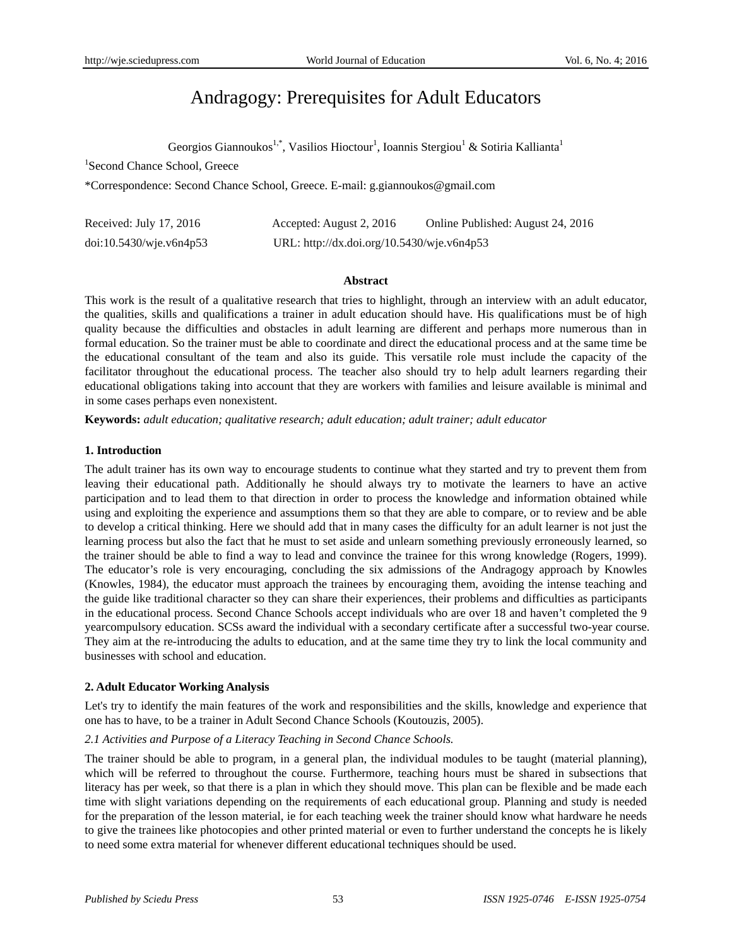# Andragogy: Prerequisites for Adult Educators

Georgios Giannoukos<sup>1,\*</sup>, Vasilios Hioctour<sup>1</sup>, Ioannis Stergiou<sup>1</sup> & Sotiria Kallianta<sup>1</sup>

<sup>1</sup>Second Chance School, Greece

\*Correspondence: Second Chance School, Greece. E-mail: g.giannoukos@gmail.com

| Received: July 17, 2016 | Accepted: August 2, 2016                   | Online Published: August 24, 2016 |
|-------------------------|--------------------------------------------|-----------------------------------|
| doi:10.5430/wje.v6n4p53 | URL: http://dx.doi.org/10.5430/wje.v6n4p53 |                                   |

#### **Abstract**

This work is the result of a qualitative research that tries to highlight, through an interview with an adult educator, the qualities, skills and qualifications a trainer in adult education should have. His qualifications must be of high quality because the difficulties and obstacles in adult learning are different and perhaps more numerous than in formal education. So the trainer must be able to coordinate and direct the educational process and at the same time be the educational consultant of the team and also its guide. This versatile role must include the capacity of the facilitator throughout the educational process. The teacher also should try to help adult learners regarding their educational obligations taking into account that they are workers with families and leisure available is minimal and in some cases perhaps even nonexistent.

**Keywords:** *adult education; qualitative research; adult education; adult trainer; adult educator* 

## **1. Introduction**

The adult trainer has its own way to encourage students to continue what they started and try to prevent them from leaving their educational path. Additionally he should always try to motivate the learners to have an active participation and to lead them to that direction in order to process the knowledge and information obtained while using and exploiting the experience and assumptions them so that they are able to compare, or to review and be able to develop a critical thinking. Here we should add that in many cases the difficulty for an adult learner is not just the learning process but also the fact that he must to set aside and unlearn something previously erroneously learned, so the trainer should be able to find a way to lead and convince the trainee for this wrong knowledge (Rogers, 1999). The educator's role is very encouraging, concluding the six admissions of the Andragogy approach by Knowles (Knowles, 1984), the educator must approach the trainees by encouraging them, avoiding the intense teaching and the guide like traditional character so they can share their experiences, their problems and difficulties as participants in the educational process. Second Chance Schools accept individuals who are over 18 and haven't completed the 9 yearcompulsory education. SCSs award the individual with a secondary certificate after a successful two-year course. They aim at the re-introducing the adults to education, and at the same time they try to link the local community and businesses with school and education.

## **2. Adult Educator Working Analysis**

Let's try to identify the main features of the work and responsibilities and the skills, knowledge and experience that one has to have, to be a trainer in Adult Second Chance Schools (Koutouzis, 2005).

## *2.1 Activities and Purpose of a Literacy Teaching in Second Chance Schools.*

The trainer should be able to program, in a general plan, the individual modules to be taught (material planning), which will be referred to throughout the course. Furthermore, teaching hours must be shared in subsections that literacy has per week, so that there is a plan in which they should move. This plan can be flexible and be made each time with slight variations depending on the requirements of each educational group. Planning and study is needed for the preparation of the lesson material, ie for each teaching week the trainer should know what hardware he needs to give the trainees like photocopies and other printed material or even to further understand the concepts he is likely to need some extra material for whenever different educational techniques should be used.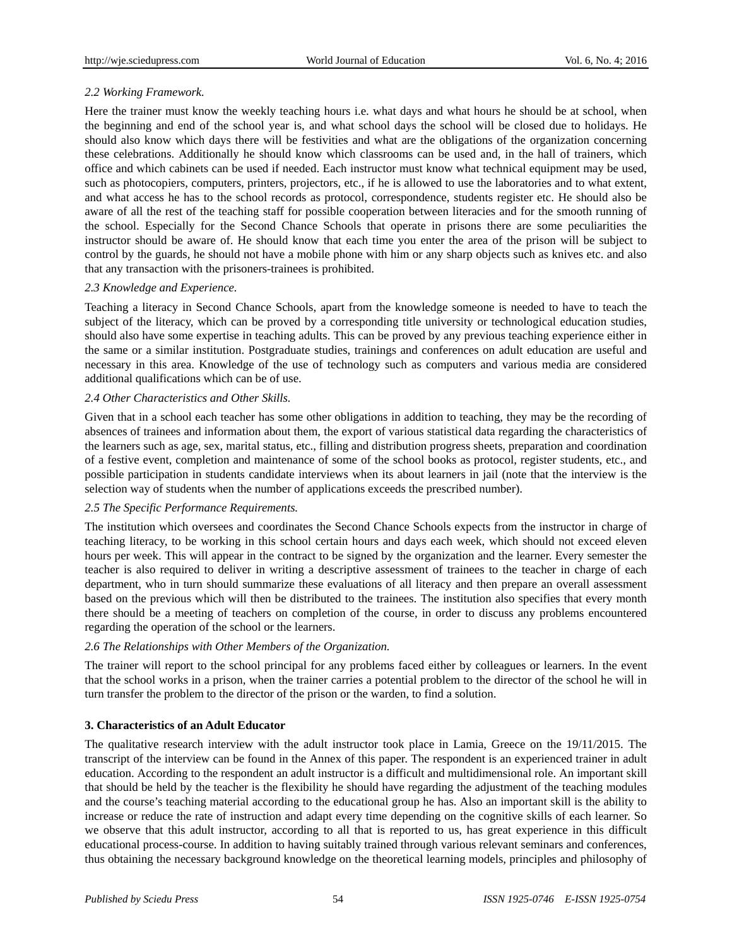## *2.2 Working Framework.*

Here the trainer must know the weekly teaching hours i.e. what days and what hours he should be at school, when the beginning and end of the school year is, and what school days the school will be closed due to holidays. He should also know which days there will be festivities and what are the obligations of the organization concerning these celebrations. Additionally he should know which classrooms can be used and, in the hall of trainers, which office and which cabinets can be used if needed. Each instructor must know what technical equipment may be used, such as photocopiers, computers, printers, projectors, etc., if he is allowed to use the laboratories and to what extent, and what access he has to the school records as protocol, correspondence, students register etc. He should also be aware of all the rest of the teaching staff for possible cooperation between literacies and for the smooth running of the school. Especially for the Second Chance Schools that operate in prisons there are some peculiarities the instructor should be aware of. He should know that each time you enter the area of the prison will be subject to control by the guards, he should not have a mobile phone with him or any sharp objects such as knives etc. and also that any transaction with the prisoners-trainees is prohibited.

## *2.3 Knowledge and Experience.*

Teaching a literacy in Second Chance Schools, apart from the knowledge someone is needed to have to teach the subject of the literacy, which can be proved by a corresponding title university or technological education studies, should also have some expertise in teaching adults. This can be proved by any previous teaching experience either in the same or a similar institution. Postgraduate studies, trainings and conferences on adult education are useful and necessary in this area. Knowledge of the use of technology such as computers and various media are considered additional qualifications which can be of use.

# *2.4 Other Characteristics and Other Skills.*

Given that in a school each teacher has some other obligations in addition to teaching, they may be the recording of absences of trainees and information about them, the export of various statistical data regarding the characteristics of the learners such as age, sex, marital status, etc., filling and distribution progress sheets, preparation and coordination of a festive event, completion and maintenance of some of the school books as protocol, register students, etc., and possible participation in students candidate interviews when its about learners in jail (note that the interview is the selection way of students when the number of applications exceeds the prescribed number).

## *2.5 The Specific Performance Requirements.*

The institution which oversees and coordinates the Second Chance Schools expects from the instructor in charge of teaching literacy, to be working in this school certain hours and days each week, which should not exceed eleven hours per week. This will appear in the contract to be signed by the organization and the learner. Every semester the teacher is also required to deliver in writing a descriptive assessment of trainees to the teacher in charge of each department, who in turn should summarize these evaluations of all literacy and then prepare an overall assessment based on the previous which will then be distributed to the trainees. The institution also specifies that every month there should be a meeting of teachers on completion of the course, in order to discuss any problems encountered regarding the operation of the school or the learners.

# *2.6 The Relationships with Other Members of the Organization.*

The trainer will report to the school principal for any problems faced either by colleagues or learners. In the event that the school works in a prison, when the trainer carries a potential problem to the director of the school he will in turn transfer the problem to the director of the prison or the warden, to find a solution.

# **3. Characteristics of an Adult Educator**

The qualitative research interview with the adult instructor took place in Lamia, Greece on the 19/11/2015. The transcript of the interview can be found in the Annex of this paper. The respondent is an experienced trainer in adult education. According to the respondent an adult instructor is a difficult and multidimensional role. An important skill that should be held by the teacher is the flexibility he should have regarding the adjustment of the teaching modules and the course's teaching material according to the educational group he has. Also an important skill is the ability to increase or reduce the rate of instruction and adapt every time depending on the cognitive skills of each learner. So we observe that this adult instructor, according to all that is reported to us, has great experience in this difficult educational process-course. In addition to having suitably trained through various relevant seminars and conferences, thus obtaining the necessary background knowledge on the theoretical learning models, principles and philosophy of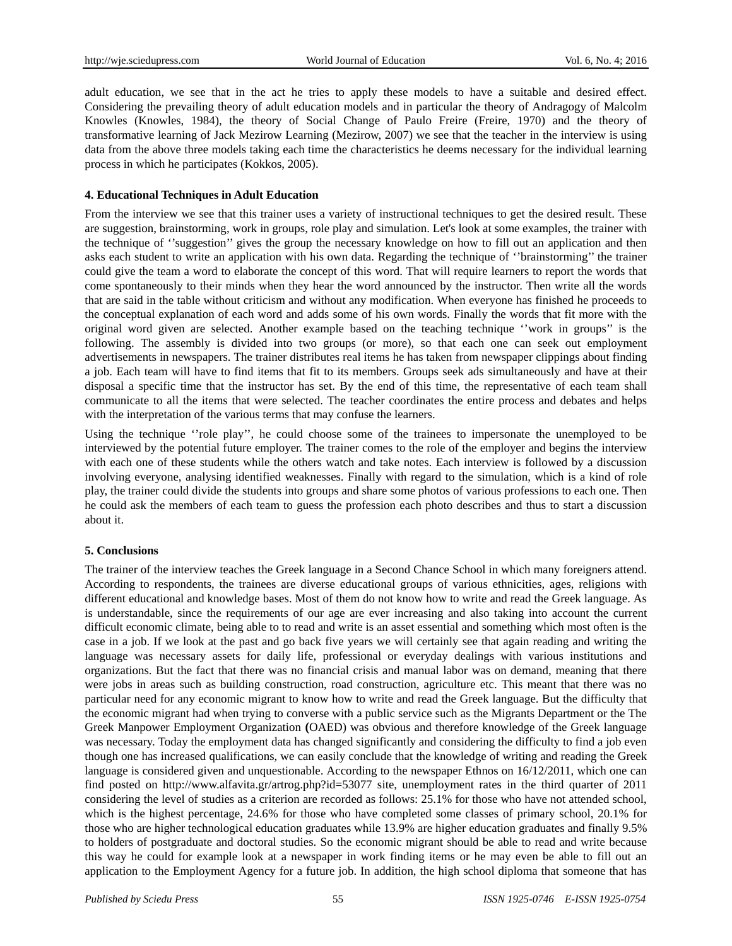adult education, we see that in the act he tries to apply these models to have a suitable and desired effect. Considering the prevailing theory of adult education models and in particular the theory of Andragogy of Malcolm Knowles (Knowles, 1984), the theory of Social Change of Paulo Freire (Freire, 1970) and the theory of transformative learning of Jack Mezirow Learning (Mezirow, 2007) we see that the teacher in the interview is using data from the above three models taking each time the characteristics he deems necessary for the individual learning process in which he participates (Kokkos, 2005).

#### **4. Educational Techniques in Adult Education**

From the interview we see that this trainer uses a variety of instructional techniques to get the desired result. These are suggestion, brainstorming, work in groups, role play and simulation. Let's look at some examples, the trainer with the technique of ''suggestion'' gives the group the necessary knowledge on how to fill out an application and then asks each student to write an application with his own data. Regarding the technique of ''brainstorming'' the trainer could give the team a word to elaborate the concept of this word. That will require learners to report the words that come spontaneously to their minds when they hear the word announced by the instructor. Then write all the words that are said in the table without criticism and without any modification. When everyone has finished he proceeds to the conceptual explanation of each word and adds some of his own words. Finally the words that fit more with the original word given are selected. Another example based on the teaching technique ''work in groups'' is the following. The assembly is divided into two groups (or more), so that each one can seek out employment advertisements in newspapers. The trainer distributes real items he has taken from newspaper clippings about finding a job. Each team will have to find items that fit to its members. Groups seek ads simultaneously and have at their disposal a specific time that the instructor has set. By the end of this time, the representative of each team shall communicate to all the items that were selected. The teacher coordinates the entire process and debates and helps with the interpretation of the various terms that may confuse the learners.

Using the technique ''role play'', he could choose some of the trainees to impersonate the unemployed to be interviewed by the potential future employer. The trainer comes to the role of the employer and begins the interview with each one of these students while the others watch and take notes. Each interview is followed by a discussion involving everyone, analysing identified weaknesses. Finally with regard to the simulation, which is a kind of role play, the trainer could divide the students into groups and share some photos of various professions to each one. Then he could ask the members of each team to guess the profession each photo describes and thus to start a discussion about it.

#### **5. Conclusions**

The trainer of the interview teaches the Greek language in a Second Chance School in which many foreigners attend. According to respondents, the trainees are diverse educational groups of various ethnicities, ages, religions with different educational and knowledge bases. Most of them do not know how to write and read the Greek language. As is understandable, since the requirements of our age are ever increasing and also taking into account the current difficult economic climate, being able to to read and write is an asset essential and something which most often is the case in a job. If we look at the past and go back five years we will certainly see that again reading and writing the language was necessary assets for daily life, professional or everyday dealings with various institutions and organizations. But the fact that there was no financial crisis and manual labor was on demand, meaning that there were jobs in areas such as building construction, road construction, agriculture etc. This meant that there was no particular need for any economic migrant to know how to write and read the Greek language. But the difficulty that the economic migrant had when trying to converse with a public service such as the Migrants Department or the The Greek Manpower Employment Organization **(**OAED) was obvious and therefore knowledge of the Greek language was necessary. Today the employment data has changed significantly and considering the difficulty to find a job even though one has increased qualifications, we can easily conclude that the knowledge of writing and reading the Greek language is considered given and unquestionable. According to the newspaper Ethnos on 16/12/2011, which one can find posted on http://www.alfavita.gr/artrog.php?id=53077 site, unemployment rates in the third quarter of 2011 considering the level of studies as a criterion are recorded as follows: 25.1% for those who have not attended school, which is the highest percentage, 24.6% for those who have completed some classes of primary school, 20.1% for those who are higher technological education graduates while 13.9% are higher education graduates and finally 9.5% to holders of postgraduate and doctoral studies. So the economic migrant should be able to read and write because this way he could for example look at a newspaper in work finding items or he may even be able to fill out an application to the Employment Agency for a future job. In addition, the high school diploma that someone that has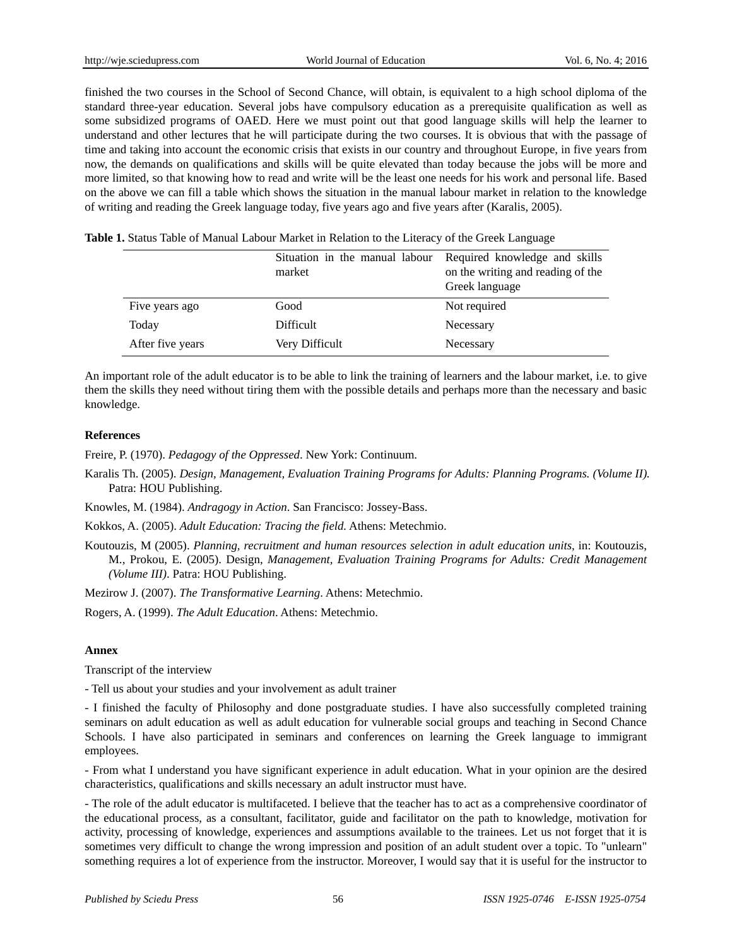finished the two courses in the School of Second Chance, will obtain, is equivalent to a high school diploma of the standard three-year education. Several jobs have compulsory education as a prerequisite qualification as well as some subsidized programs of OAED. Here we must point out that good language skills will help the learner to understand and other lectures that he will participate during the two courses. It is obvious that with the passage of time and taking into account the economic crisis that exists in our country and throughout Europe, in five years from now, the demands on qualifications and skills will be quite elevated than today because the jobs will be more and more limited, so that knowing how to read and write will be the least one needs for his work and personal life. Based on the above we can fill a table which shows the situation in the manual labour market in relation to the knowledge of writing and reading the Greek language today, five years ago and five years after (Karalis, 2005).

|                  | Situation in the manual labour<br>market | Required knowledge and skills<br>on the writing and reading of the<br>Greek language |
|------------------|------------------------------------------|--------------------------------------------------------------------------------------|
| Five years ago   | Good                                     | Not required                                                                         |
| Today            | Difficult                                | Necessary                                                                            |
| After five years | Very Difficult                           | Necessary                                                                            |

| Table 1. Status Table of Manual Labour Market in Relation to the Literacy of the Greek Language |
|-------------------------------------------------------------------------------------------------|
|-------------------------------------------------------------------------------------------------|

An important role of the adult educator is to be able to link the training of learners and the labour market, i.e. to give them the skills they need without tiring them with the possible details and perhaps more than the necessary and basic knowledge.

#### **References**

Freire, P. (1970). *Pedagogy of the Oppressed*. New York: Continuum.

- Karalis Th. (2005). *Design, Management, Evaluation Training Programs for Adults: Planning Programs. (Volume II).* Patra: HOU Publishing.
- Knowles, M. (1984). *Andragogy in Action*. San Francisco: Jossey-Bass.
- Kokkos, A. (2005). *Adult Education: Tracing the field.* Athens: Metechmio.
- Koutouzis, M (2005). *Planning, recruitment and human resources selection in adult education units*, in: Koutouzis, M., Prokou, E. (2005). Design*, Management, Evaluation Training Programs for Adults: Credit Management (Volume III)*. Patra: HOU Publishing.

Mezirow J. (2007). *The Transformative Learning*. Athens: Metechmio.

Rogers, A. (1999). *The Adult Education*. Athens: Metechmio.

#### **Annex**

Transcript of the interview

- Tell us about your studies and your involvement as adult trainer

- I finished the faculty of Philosophy and done postgraduate studies. I have also successfully completed training seminars on adult education as well as adult education for vulnerable social groups and teaching in Second Chance Schools. I have also participated in seminars and conferences on learning the Greek language to immigrant employees.

- From what I understand you have significant experience in adult education. What in your opinion are the desired characteristics, qualifications and skills necessary an adult instructor must have.

- The role of the adult educator is multifaceted. I believe that the teacher has to act as a comprehensive coordinator of the educational process, as a consultant, facilitator, guide and facilitator on the path to knowledge, motivation for activity, processing of knowledge, experiences and assumptions available to the trainees. Let us not forget that it is sometimes very difficult to change the wrong impression and position of an adult student over a topic. To "unlearn" something requires a lot of experience from the instructor. Moreover, I would say that it is useful for the instructor to